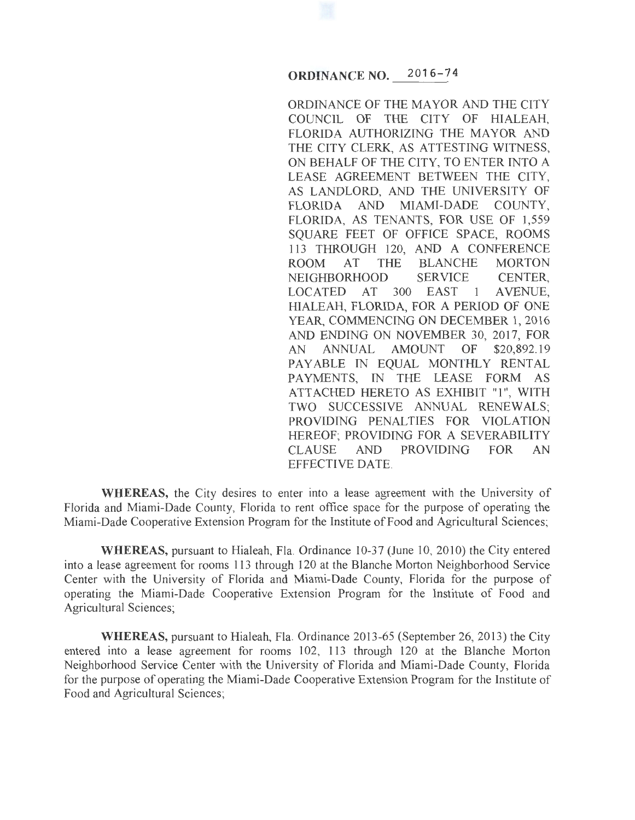## **ORDINANCE NO. 20 16-7 4**

ORDINANCE OF THE MAYOR AND THE CITY COUNCIL OF THE CITY OF HIALEAH, FLORIDA AUTHORIZING THE MAYOR AND THE CITY CLERK, AS ATTESTING WITNESS, ON BEHALF OF THE CITY, TO ENTER INTO A LEASE AGREEMENT BETWEEN THE CITY, AS LANDLORD, AND THE UNIVERSITY OF FLORIDA AND MIAMI-DADE COUNTY, FLORIDA, AS TENANTS, FOR USE OF 1,559 SQUARE FEET OF OFFICE SPACE, ROOMS 113 THROUGH 120, AND A CONFERENCE<br>ROOM AT THE BLANCHE MORTON ROOM AT THE BLANCHE NEIGHBORHOOD SERVICE CENTER,<br>LOCATED AT 300 EAST 1 AVENUE, LOCATED AT 300 EAST 1 HIALEAH, FLORIDA, FOR A PERIOD OF ONE YEAR, COMMENCING ON DECEMBER 1, 2016 AND ENDING ON NOVEMBER 30, 2017, FOR<br>AN ANNUAL AMOUNT OF \$20,892.19 AN ANNUAL AMOUNT OF \$20,892.19 PAYABLE IN EQUAL MONTHLY RENTAL PAYMENTS, IN THE LEASE FORM AS ATTACHED HERETO AS EXHIBIT "1", WITH TWO SUCCESSIVE ANNUAL RENEWALS; PROVIDING PENALTIES FOR VIOLATION HEREOF; PROVIDING FOR A SEVERABILITY CLAUSE AND PROVIDING FOR AN EFFECTIVE DATE.

**WHEREAS,** the City desires to enter into a lease agreement with the University of Florida and Miami-Dade County, Florida to rent office space for the purpose of operating the Miami-Dade Cooperative Extension Program for the Institute of Food and Agricultural Sciences;

**WHEREAS,** pursuant to Hialeah, Fla. Ordinance 10-37 (June 10, 2010) the City entered into a lease agreement for rooms 113 through 120 at the Blanche Morton Neighborhood Service Center with the University of Florida and Miami-Dade County, Florida for the purpose of operating the Miami-Dade Cooperative Extension Program for the Institute of Food and Agricultural Sciences;

**WHEREAS,** pursuant to Hialeah, Fla. Ordinance 2013-65 (September 26, 2013) the City entered into a lease agreement for rooms 102, 113 through 120 at the Blanche Morton Neighborhood Service Center with the University of Florida and Miami-Dade County, Florida for the purpose of operating the Miami-Dade Cooperative Extension Program for the Institute of Food and Agricultural Sciences;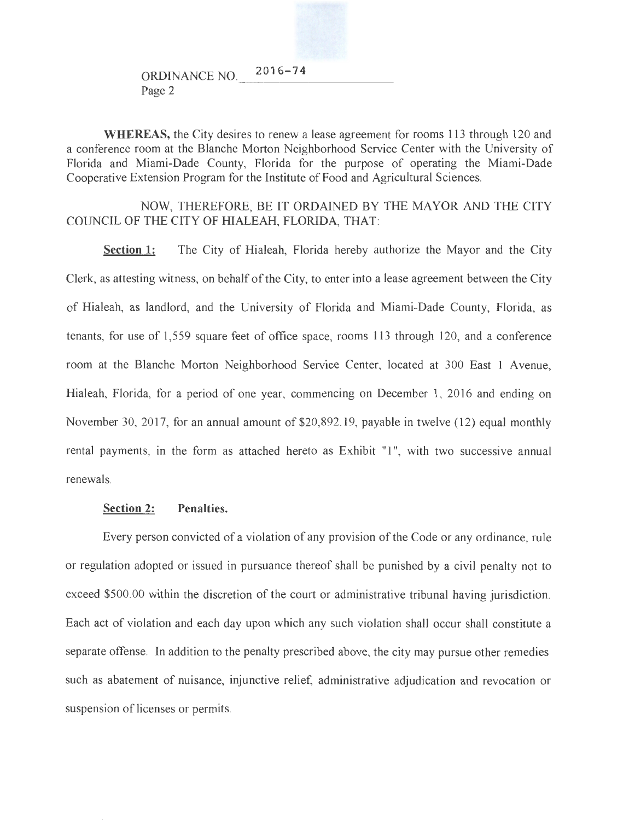ORDINANCE NO. 2016-74<br>Page 2

**WHEREAS,** the City desires to renew a lease agreement for rooms 1 13 through 120 and a conference room at the Blanche Morton Neighborhood Service Center with the University of Florida and Miami-Dade County, Florida for the purpose of operating the Miami-Dade Cooperative Extension Program for the Institute of Food and Agricultural Sciences.

NOW, THEREFORE, BE IT ORDAINED BY THE MAYOR AND THE CITY COUNCIL OF THE CITY OF IllALEAH, FLORIDA, THAT:

**Section 1:** The City of Hialeah, Florida hereby authorize the Mayor and the City Clerk, as attesting witness, on behalf of the City, to enter into a lease agreement between the City of Hialeah, as landlord, and the University of Florida and Miami-Dade County, Florida, as tenants, for use of 1,559 square feet of office space, rooms 113 through 120, and a conference room at the Blanche Morton Neighborhood Service Center, located at 300 East 1 Avenue, Hialeah, Florida, for a period of one year, commencing on December 1, 2016 and ending on November 30, 2017, for an annual amount of \$20,892.19, payable in twelve (12) equal monthly rental payments, in the form as attached hereto as Exhibit "1", with two successive annual renewals.

## **Section 2: Penalties.**

Every person convicted of a violation of any provision of the Code or any ordinance, rule or regulation adopted or issued in pursuance thereof shall be punished by a civil penalty not to exceed \$500.00 within the discretion of the court or administrative tribunal having jurisdiction. Each act of violation and each day upon which any such violation shall occur shall constitute a separate offense. In addition to the penalty prescribed above, the city may pursue other remedies such as abatement of nuisance, injunctive relief, administrative adjudication and revocation or suspension of licenses or permits.